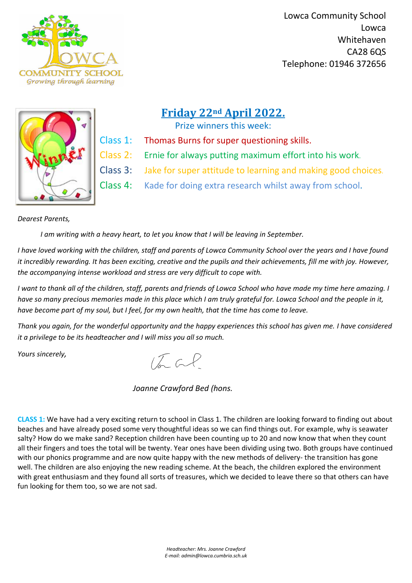

 Lowca Community School Lowca Whitehaven CA28 6QS Telephone: 01946 372656



*Headteacher: Mrs. Joanne Crawford E-mail: admin@lowca.cumbria.sch.uk*

# **Friday 22nd April 2022.**

Prize winners this week:

- Class 1: Thomas Burns for super questioning skills.
- Class 2: Ernie for always putting maximum effort into his work.
- Class 3: Jake for super attitude to learning and making good choices.
- Class 4: Kade for doing extra research whilst away from school.

## *Dearest Parents,*

 *I am writing with a heavy heart, to let you know that I will be leaving in September.* 

*I have loved working with the children, staff and parents of Lowca Community School over the years and I have found it incredibly rewarding. It has been exciting, creative and the pupils and their achievements, fill me with joy. However, the accompanying intense workload and stress are very difficult to cope with.*

*I want to thank all of the children, staff, parents and friends of Lowca School who have made my time here amazing. I have so many precious memories made in this place which I am truly grateful for. Lowca School and the people in it, have become part of my soul, but I feel, for my own health, that the time has come to leave.* 

*Thank you again, for the wonderful opportunity and the happy experiences this school has given me. I have considered it a privilege to be its headteacher and I will miss you all so much.*

*Yours sincerely,*

 $\sqrt{a}$  al

 *Joanne Crawford Bed (hons.*

**CLASS 1:** We have had a very exciting return to school in Class 1. The children are looking forward to finding out about beaches and have already posed some very thoughtful ideas so we can find things out. For example, why is seawater salty? How do we make sand? Reception children have been counting up to 20 and now know that when they count all their fingers and toes the total will be twenty. Year ones have been dividing using two. Both groups have continued with our phonics programme and are now quite happy with the new methods of delivery- the transition has gone well. The children are also enjoying the new reading scheme. At the beach, the children explored the environment with great enthusiasm and they found all sorts of treasures, which we decided to leave there so that others can have fun looking for them too, so we are not sad.